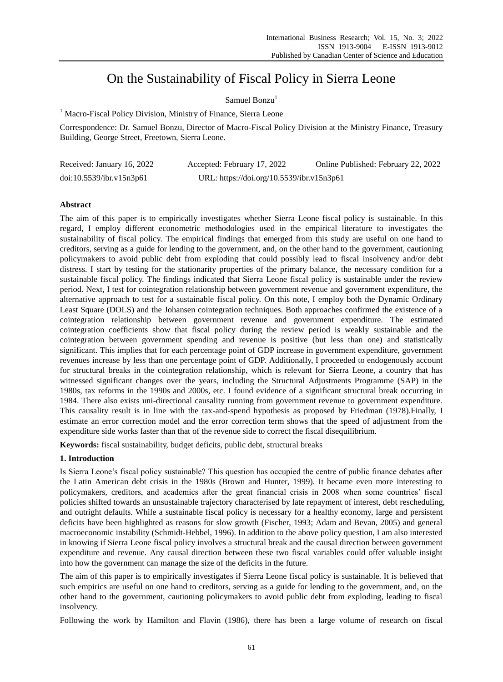# On the Sustainability of Fiscal Policy in Sierra Leone

# Samuel Bonzu<sup>1</sup>

<sup>1</sup> Macro-Fiscal Policy Division, Ministry of Finance, Sierra Leone

Correspondence: Dr. Samuel Bonzu, Director of Macro-Fiscal Policy Division at the Ministry Finance, Treasury Building, George Street, Freetown, Sierra Leone.

| Received: January 16, 2022 | Accepted: February 17, 2022               | Online Published: February 22, 2022 |
|----------------------------|-------------------------------------------|-------------------------------------|
| doi:10.5539/ibr.v15n3p61   | URL: https://doi.org/10.5539/ibr.v15n3p61 |                                     |

# **Abstract**

The aim of this paper is to empirically investigates whether Sierra Leone fiscal policy is sustainable. In this regard, I employ different econometric methodologies used in the empirical literature to investigates the sustainability of fiscal policy. The empirical findings that emerged from this study are useful on one hand to creditors, serving as a guide for lending to the government, and, on the other hand to the government, cautioning policymakers to avoid public debt from exploding that could possibly lead to fiscal insolvency and/or debt distress. I start by testing for the stationarity properties of the primary balance, the necessary condition for a sustainable fiscal policy. The findings indicated that Sierra Leone fiscal policy is sustainable under the review period. Next, I test for cointegration relationship between government revenue and government expenditure, the alternative approach to test for a sustainable fiscal policy. On this note, I employ both the Dynamic Ordinary Least Square (DOLS) and the Johansen cointegration techniques. Both approaches confirmed the existence of a cointegration relationship between government revenue and government expenditure. The estimated cointegration coefficients show that fiscal policy during the review period is weakly sustainable and the cointegration between government spending and revenue is positive (but less than one) and statistically significant. This implies that for each percentage point of GDP increase in government expenditure, government revenues increase by less than one percentage point of GDP. Additionally, I proceeded to endogenously account for structural breaks in the cointegration relationship, which is relevant for Sierra Leone, a country that has witnessed significant changes over the years, including the Structural Adjustments Programme (SAP) in the 1980s, tax reforms in the 1990s and 2000s, etc. I found evidence of a significant structural break occurring in 1984. There also exists uni-directional causality running from government revenue to government expenditure. This causality result is in line with the tax-and-spend hypothesis as proposed by Friedman (1978).Finally, I estimate an error correction model and the error correction term shows that the speed of adjustment from the expenditure side works faster than that of the revenue side to correct the fiscal disequilibrium.

**Keywords:** fiscal sustainability, budget deficits, public debt, structural breaks

# **1. Introduction**

Is Sierra Leone's fiscal policy sustainable? This question has occupied the centre of public finance debates after the Latin American debt crisis in the 1980s (Brown and Hunter, 1999). It became even more interesting to policymakers, creditors, and academics after the great financial crisis in 2008 when some countries' fiscal policies shifted towards an unsustainable trajectory characterised by late repayment of interest, debt rescheduling, and outright defaults. While a sustainable fiscal policy is necessary for a healthy economy, large and persistent deficits have been highlighted as reasons for slow growth (Fischer, 1993; Adam and Bevan, 2005) and general macroeconomic instability (Schmidt-Hebbel, 1996). In addition to the above policy question, I am also interested in knowing if Sierra Leone fiscal policy involves a structural break and the causal direction between government expenditure and revenue. Any causal direction between these two fiscal variables could offer valuable insight into how the government can manage the size of the deficits in the future.

The aim of this paper is to empirically investigates if Sierra Leone fiscal policy is sustainable. It is believed that such empirics are useful on one hand to creditors, serving as a guide for lending to the government, and, on the other hand to the government, cautioning policymakers to avoid public debt from exploding, leading to fiscal insolvency.

Following the work by Hamilton and Flavin (1986), there has been a large volume of research on fiscal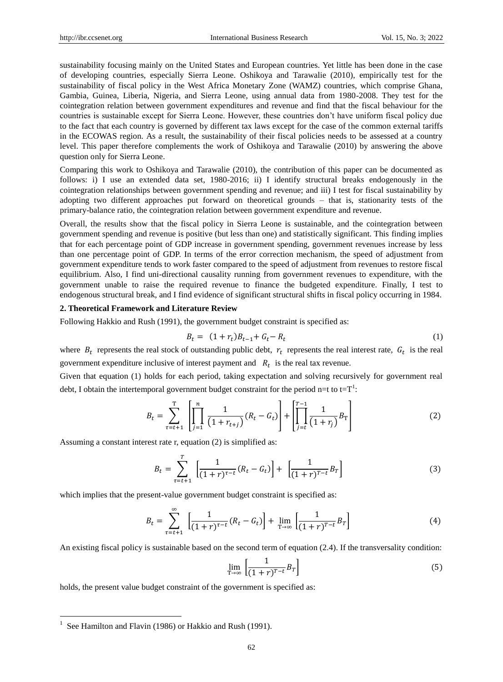sustainability focusing mainly on the United States and European countries. Yet little has been done in the case of developing countries, especially Sierra Leone. Oshikoya and Tarawalie (2010), empirically test for the sustainability of fiscal policy in the West Africa Monetary Zone (WAMZ) countries, which comprise Ghana, Gambia, Guinea, Liberia, Nigeria, and Sierra Leone, using annual data from 1980-2008. They test for the cointegration relation between government expenditures and revenue and find that the fiscal behaviour for the countries is sustainable except for Sierra Leone. However, these countries don't have uniform fiscal policy due to the fact that each country is governed by different tax laws except for the case of the common external tariffs in the ECOWAS region. As a result, the sustainability of their fiscal policies needs to be assessed at a country level. This paper therefore complements the work of Oshikoya and Tarawalie (2010) by answering the above question only for Sierra Leone.

Comparing this work to Oshikoya and Tarawalie (2010), the contribution of this paper can be documented as follows: i) I use an extended data set, 1980-2016; ii) I identify structural breaks endogenously in the cointegration relationships between government spending and revenue; and iii) I test for fiscal sustainability by adopting two different approaches put forward on theoretical grounds – that is, stationarity tests of the primary-balance ratio, the cointegration relation between government expenditure and revenue.

Overall, the results show that the fiscal policy in Sierra Leone is sustainable, and the cointegration between government spending and revenue is positive (but less than one) and statistically significant. This finding implies that for each percentage point of GDP increase in government spending, government revenues increase by less than one percentage point of GDP. In terms of the error correction mechanism, the speed of adjustment from government expenditure tends to work faster compared to the speed of adjustment from revenues to restore fiscal equilibrium. Also, I find uni-directional causality running from government revenues to expenditure, with the government unable to raise the required revenue to finance the budgeted expenditure. Finally, I test to endogenous structural break, and I find evidence of significant structural shifts in fiscal policy occurring in 1984.

#### **2. Theoretical Framework and Literature Review**

Following Hakkio and Rush (1991), the government budget constraint is specified as:

$$
B_t = (1 + r_t)B_{t-1} + G_t - R_t \tag{1}
$$

where  $B_t$  represents the real stock of outstanding public debt,  $r_t$  represents the real interest rate,  $G_t$  is the real government expenditure inclusive of interest payment and  $R_t$  is the real tax revenue.

Given that equation (1) holds for each period, taking expectation and solving recursively for government real debt, I obtain the intertemporal government budget constraint for the period n=t to t= $T^1$ :

$$
B_t = \sum_{\tau=t+1}^{\mathrm{T}} \left[ \prod_{j=1}^n \frac{1}{\left(1 + r_{t+j}\right)} (R_t - G_t) \right] + \left[ \prod_{j=t}^{T-1} \frac{1}{\left(1 + r_j\right)} B_{\mathrm{T}} \right] \tag{2}
$$

Assuming a constant interest rate r, equation (2) is simplified as:

$$
B_t = \sum_{\tau=t+1}^T \left[ \frac{1}{(1+r)^{\tau-t}} (R_t - G_t) \right] + \left[ \frac{1}{(1+r)^{\tau-t}} B_T \right]
$$
(3)

which implies that the present-value government budget constraint is specified as:

$$
B_t = \sum_{\tau=t+1}^{\infty} \left[ \frac{1}{(1+r)^{\tau-t}} (R_t - G_t) \right] + \lim_{T \to \infty} \left[ \frac{1}{(1+r)^{\tau-t}} B_T \right]
$$
(4)

An existing fiscal policy is sustainable based on the second term of equation (2.4). If the transversality condition:

$$
\lim_{T \to \infty} \left[ \frac{1}{(1+r)^{T-t}} B_T \right] \tag{5}
$$

holds, the present value budget constraint of the government is specified as:

l

<sup>&</sup>lt;sup>1</sup> See Hamilton and Flavin (1986) or Hakkio and Rush (1991).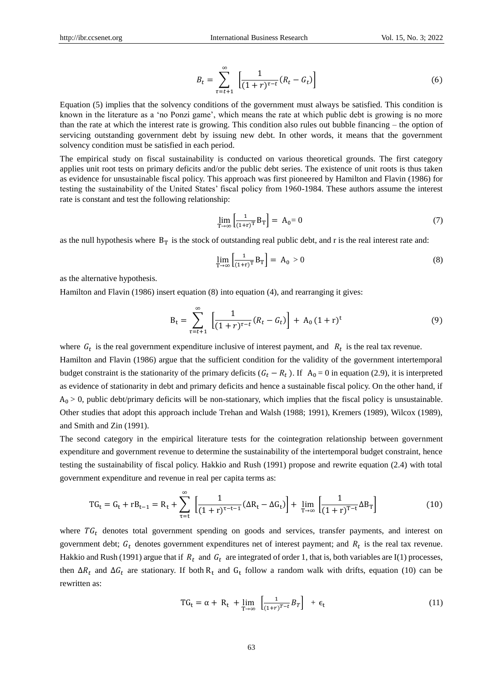$$
B_t = \sum_{\tau=t+1}^{\infty} \left[ \frac{1}{(1+r)^{\tau-t}} (R_t - G_t) \right]
$$
 (6)

Equation (5) implies that the solvency conditions of the government must always be satisfied. This condition is known in the literature as a 'no Ponzi game', which means the rate at which public debt is growing is no more than the rate at which the interest rate is growing. This condition also rules out bubble financing – the option of servicing outstanding government debt by issuing new debt. In other words, it means that the government solvency condition must be satisfied in each period.

The empirical study on fiscal sustainability is conducted on various theoretical grounds. The first category applies unit root tests on primary deficits and/or the public debt series. The existence of unit roots is thus taken as evidence for unsustainable fiscal policy. This approach was first pioneered by Hamilton and Flavin (1986) for testing the sustainability of the United States' fiscal policy from 1960-1984. These authors assume the interest rate is constant and test the following relationship:

$$
\lim_{T \to \infty} \left[ \frac{1}{(1+r)^T} B_T \right] = A_0 = 0 \tag{7}
$$

as the null hypothesis where  $B_T$  is the stock of outstanding real public debt, and r is the real interest rate and:

$$
\lim_{T \to \infty} \left[ \frac{1}{(1+r)^T} B_T \right] = A_0 > 0 \tag{8}
$$

as the alternative hypothesis.

Hamilton and Flavin (1986) insert equation (8) into equation (4), and rearranging it gives:

$$
B_t = \sum_{\tau=t+1}^{\infty} \left[ \frac{1}{(1+r)^{\tau-t}} (R_t - G_t) \right] + A_0 (1+r)^t \tag{9}
$$

where  $G_t$  is the real government expenditure inclusive of interest payment, and  $R_t$  is the real tax revenue.

Hamilton and Flavin (1986) argue that the sufficient condition for the validity of the government intertemporal budget constraint is the stationarity of the primary deficits ( $G_t - R_t$ ). If  $A_0 = 0$  in equation (2.9), it is interpreted as evidence of stationarity in debt and primary deficits and hence a sustainable fiscal policy. On the other hand, if  $A_0 > 0$ , public debt/primary deficits will be non-stationary, which implies that the fiscal policy is unsustainable. Other studies that adopt this approach include Trehan and Walsh (1988; 1991), Kremers (1989), Wilcox (1989), and Smith and Zin (1991).

The second category in the empirical literature tests for the cointegration relationship between government expenditure and government revenue to determine the sustainability of the intertemporal budget constraint, hence testing the sustainability of fiscal policy. Hakkio and Rush (1991) propose and rewrite equation (2.4) with total government expenditure and revenue in real per capita terms as:

$$
TG_t = G_t + rB_{t-1} = R_t + \sum_{\tau=t}^{\infty} \left[ \frac{1}{(1+r)^{\tau-t-1}} (\Delta R_t - \Delta G_t) \right] + \lim_{T \to \infty} \left[ \frac{1}{(1+r)^{T-t}} \Delta B_T \right]
$$
(10)

where  $TG_t$  denotes total government spending on goods and services, transfer payments, and interest on government debt;  $G_t$  denotes government expenditures net of interest payment; and  $R_t$  is the real tax revenue. Hakkio and Rush (1991) argue that if  $R_t$  and  $G_t$  are integrated of order 1, that is, both variables are I(1) processes, then  $\Delta R_t$  and  $\Delta G_t$  are stationary. If both R<sub>t</sub> and G<sub>t</sub> follow a random walk with drifts, equation (10) can be rewritten as:

$$
TG_t = \alpha + R_t + \lim_{T \to \infty} \left[ \frac{1}{(1+r)^{T-t}} B_T \right] + \epsilon_t
$$
\n(11)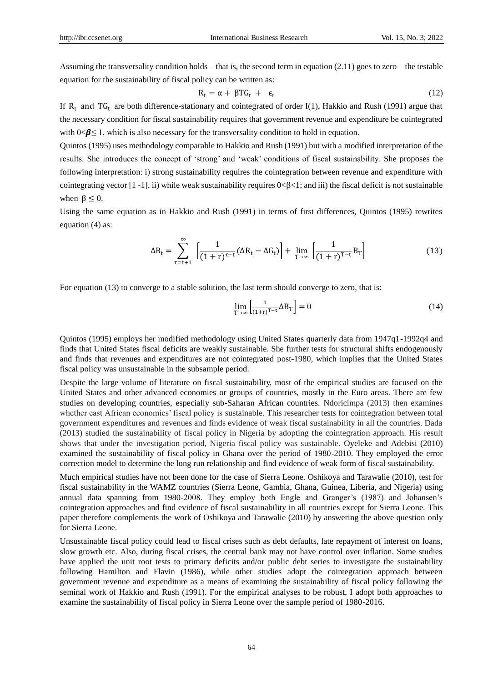Assuming the transversality condition holds – that is, the second term in equation  $(2.11)$  goes to zero – the testable equation for the sustainability of fiscal policy can be written as:

$$
R_t = \alpha + \beta T G_t + \epsilon_t \tag{12}
$$

If  $R_t$  and  $TG_t$  are both difference-stationary and cointegrated of order I(1), Hakkio and Rush (1991) argue that the necessary condition for fiscal sustainability requires that government revenue and expenditure be cointegrated with  $0 \le \beta \le 1$ , which is also necessary for the transversality condition to hold in equation.

Quintos (1995) uses methodology comparable to Hakkio and Rush (1991) but with a modified interpretation of the results. She introduces the concept of ‗strong' and ‗weak' conditions of fiscal sustainability. She proposes the following interpretation: i) strong sustainability requires the cointegration between revenue and expenditure with cointegrating vector  $[1 -1]$ , ii) while weak sustainability requires  $0 < \beta < 1$ ; and iii) the fiscal deficit is not sustainable when  $\beta \leq 0$ .

Using the same equation as in Hakkio and Rush (1991) in terms of first differences, Quintos (1995) rewrites equation (4) as:

$$
\Delta B_t = \sum_{\tau=t+1}^{\infty} \left[ \frac{1}{(1+r)^{\tau-t}} (\Delta R_t - \Delta G_t) \right] + \lim_{T \to \infty} \left[ \frac{1}{(1+r)^{T-t}} B_T \right]
$$
(13)

For equation (13) to converge to a stable solution, the last term should converge to zero, that is:

$$
\lim_{T \to \infty} \left[ \frac{1}{(1+r)^{T-t}} \Delta B_T \right] = 0 \tag{14}
$$

Quintos (1995) employs her modified methodology using United States quarterly data from 1947q1-1992q4 and finds that United States fiscal deficits are weakly sustainable. She further tests for structural shifts endogenously and finds that revenues and expenditures are not cointegrated post-1980, which implies that the United States fiscal policy was unsustainable in the subsample period.

Despite the large volume of literature on fiscal sustainability, most of the empirical studies are focused on the United States and other advanced economies or groups of countries, mostly in the Euro areas. There are few studies on developing countries, especially sub-Saharan African countries. Ndoricimpa (2013) then examines whether east African economies' fiscal policy is sustainable. This researcher tests for cointegration between total government expenditures and revenues and finds evidence of weak fiscal sustainability in all the countries. Dada (2013) studied the sustainability of fiscal policy in Nigeria by adopting the cointegration approach. His result shows that under the investigation period, Nigeria fiscal policy was sustainable. Oyeleke and Adebisi (2010) examined the sustainability of fiscal policy in Ghana over the period of 1980-2010. They employed the error correction model to determine the long run relationship and find evidence of weak form of fiscal sustainability.

Much empirical studies have not been done for the case of Sierra Leone. Oshikoya and Tarawalie (2010), test for fiscal sustainability in the WAMZ countries (Sierra Leone, Gambia, Ghana, Guinea, Liberia, and Nigeria) using annual data spanning from 1980-2008. They employ both Engle and Granger's (1987) and Johansen's cointegration approaches and find evidence of fiscal sustainability in all countries except for Sierra Leone. This paper therefore complements the work of Oshikoya and Tarawalie (2010) by answering the above question only for Sierra Leone.

Unsustainable fiscal policy could lead to fiscal crises such as debt defaults, late repayment of interest on loans, slow growth etc. Also, during fiscal crises, the central bank may not have control over inflation. Some studies have applied the unit root tests to primary deficits and/or public debt series to investigate the sustainability following Hamilton and Flavin (1986), while other studies adopt the cointegration approach between government revenue and expenditure as a means of examining the sustainability of fiscal policy following the seminal work of Hakkio and Rush (1991). For the empirical analyses to be robust, I adopt both approaches to examine the sustainability of fiscal policy in Sierra Leone over the sample period of 1980-2016.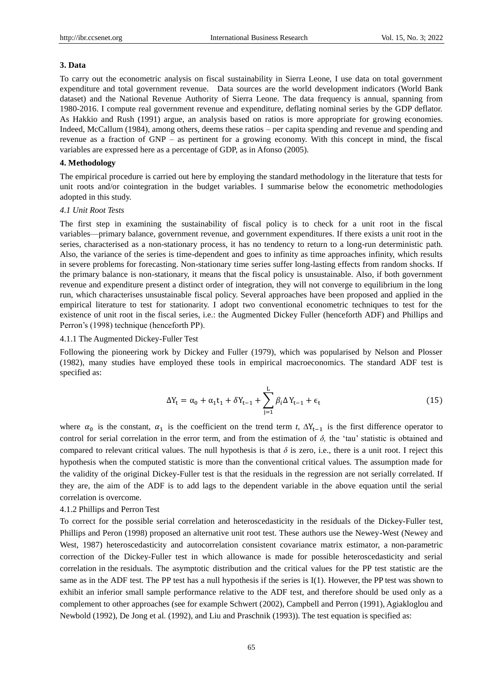#### **3. Data**

To carry out the econometric analysis on fiscal sustainability in Sierra Leone, I use data on total government expenditure and total government revenue. Data sources are the world development indicators (World Bank dataset) and the National Revenue Authority of Sierra Leone. The data frequency is annual, spanning from 1980-2016. I compute real government revenue and expenditure, deflating nominal series by the GDP deflator. As Hakkio and Rush (1991) argue, an analysis based on ratios is more appropriate for growing economies. Indeed, McCallum (1984), among others, deems these ratios – per capita spending and revenue and spending and revenue as a fraction of GNP – as pertinent for a growing economy. With this concept in mind, the fiscal variables are expressed here as a percentage of GDP, as in Afonso (2005).

#### **4. Methodology**

The empirical procedure is carried out here by employing the standard methodology in the literature that tests for unit roots and/or cointegration in the budget variables. I summarise below the econometric methodologies adopted in this study.

#### *4.1 Unit Root Tests*

The first step in examining the sustainability of fiscal policy is to check for a unit root in the fiscal variables—primary balance, government revenue, and government expenditures. If there exists a unit root in the series, characterised as a non-stationary process, it has no tendency to return to a long-run deterministic path. Also, the variance of the series is time-dependent and goes to infinity as time approaches infinity, which results in severe problems for forecasting. Non-stationary time series suffer long-lasting effects from random shocks. If the primary balance is non-stationary, it means that the fiscal policy is unsustainable. Also, if both government revenue and expenditure present a distinct order of integration, they will not converge to equilibrium in the long run, which characterises unsustainable fiscal policy. Several approaches have been proposed and applied in the empirical literature to test for stationarity. I adopt two conventional econometric techniques to test for the existence of unit root in the fiscal series, i.e.: the Augmented Dickey Fuller (henceforth ADF) and Phillips and Perron's (1998) technique (henceforth PP).

#### 4.1.1 The Augmented Dickey-Fuller Test

Following the pioneering work by Dickey and Fuller (1979), which was popularised by Nelson and Plosser (1982), many studies have employed these tools in empirical macroeconomics. The standard ADF test is specified as:

$$
\Delta Y_{t} = \alpha_{0} + \alpha_{1}t_{1} + \delta Y_{t-1} + \sum_{j=1}^{L} \beta_{i} \Delta Y_{t-1} + \epsilon_{t}
$$
\n(15)

where  $\alpha_0$  is the constant,  $\alpha_1$  is the coefficient on the trend term *t*,  $\Delta Y_{t-1}$  is the first difference operator to control for serial correlation in the error term, and from the estimation of  $\delta$ , the 'tau' statistic is obtained and compared to relevant critical values. The null hypothesis is that *δ* is zero, i.e., there is a unit root. I reject this hypothesis when the computed statistic is more than the conventional critical values. The assumption made for the validity of the original Dickey-Fuller test is that the residuals in the regression are not serially correlated. If they are, the aim of the ADF is to add lags to the dependent variable in the above equation until the serial correlation is overcome.

#### 4.1.2 Phillips and Perron Test

To correct for the possible serial correlation and heteroscedasticity in the residuals of the Dickey-Fuller test, Phillips and Peron (1998) proposed an alternative unit root test. These authors use the Newey-West (Newey and West, 1987) heteroscedasticity and autocorrelation consistent covariance matrix estimator, a non-parametric correction of the Dickey-Fuller test in which allowance is made for possible heteroscedasticity and serial correlation in the residuals. The asymptotic distribution and the critical values for the PP test statistic are the same as in the ADF test. The PP test has a null hypothesis if the series is I(1). However, the PP test was shown to exhibit an inferior small sample performance relative to the ADF test, and therefore should be used only as a complement to other approaches (see for example Schwert (2002), Campbell and Perron (1991), Agiakloglou and Newbold (1992), De Jong et al*.* (1992), and Liu and Praschnik (1993)). The test equation is specified as: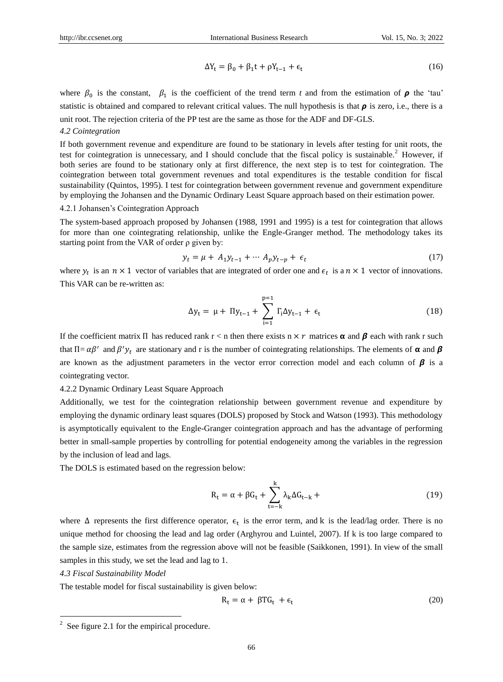$$
\Delta Y_t = \beta_0 + \beta_1 t + \rho Y_{t-1} + \epsilon_t \tag{16}
$$

where  $\beta_0$  is the constant,  $\beta_1$  is the coefficient of the trend term *t* and from the estimation of  $\rho$  the 'tau' statistic is obtained and compared to relevant critical values. The null hypothesis is that  $\rho$  is zero, i.e., there is a unit root. The rejection criteria of the PP test are the same as those for the ADF and DF-GLS.

# *4.2 Cointegration*

If both government revenue and expenditure are found to be stationary in levels after testing for unit roots, the test for cointegration is unnecessary, and I should conclude that the fiscal policy is sustainable.<sup>2</sup> However, if both series are found to be stationary only at first difference, the next step is to test for cointegration. The cointegration between total government revenues and total expenditures is the testable condition for fiscal sustainability (Quintos, 1995). I test for cointegration between government revenue and government expenditure by employing the Johansen and the Dynamic Ordinary Least Square approach based on their estimation power.

# 4.2.1 Johansen's Cointegration Approach

The system-based approach proposed by Johansen (1988, 1991 and 1995) is a test for cointegration that allows for more than one cointegrating relationship, unlike the Engle-Granger method. The methodology takes its starting point from the VAR of order ρ given by:

$$
y_t = \mu + A_1 y_{t-1} + \dots + A_p y_{t-p} + \epsilon_t
$$
 (17)

where  $y_t$  is an  $n \times 1$  vector of variables that are integrated of order one and  $\epsilon_t$  is a  $n \times 1$  vector of innovations. This VAR can be re-written as:

$$
\Delta y_{t} = \mu + \Pi y_{t-1} + \sum_{i=1}^{p=1} \Gamma_{i} \Delta y_{t-1} + \epsilon_{t}
$$
 (18)

If the coefficient matrix  $\Pi$  has reduced rank  $r < n$  then there exists  $n \times r$  matrices  $\alpha$  and  $\beta$  each with rank r such that  $\Pi = \alpha \beta'$  and  $\beta' y_t$  are stationary and r is the number of cointegrating relationships. The elements of  $\alpha$  and  $\beta$ are known as the adjustment parameters in the vector error correction model and each column of  $\beta$  is a cointegrating vector.

4.2.2 Dynamic Ordinary Least Square Approach

Additionally, we test for the cointegration relationship between government revenue and expenditure by employing the dynamic ordinary least squares (DOLS) proposed by Stock and Watson (1993). This methodology is asymptotically equivalent to the Engle-Granger cointegration approach and has the advantage of performing better in small-sample properties by controlling for potential endogeneity among the variables in the regression by the inclusion of lead and lags.

The DOLS is estimated based on the regression below:

$$
R_t = \alpha + \beta G_t + \sum_{t=-k}^{k} \lambda_k \Delta G_{t-k} \tag{19}
$$

where  $\Delta$  represents the first difference operator,  $\epsilon_t$  is the error term, and k is the lead/lag order. There is no unique method for choosing the lead and lag order (Arghyrou and Luintel, 2007). If k is too large compared to the sample size, estimates from the regression above will not be feasible (Saikkonen, 1991). In view of the small samples in this study, we set the lead and lag to 1.

# *4.3 Fiscal Sustainability Model*

The testable model for fiscal sustainability is given below:

$$
R_t = \alpha + \beta T G_t + \epsilon_t \tag{20}
$$

<sup>&</sup>lt;sup>2</sup> See figure 2.1 for the empirical procedure.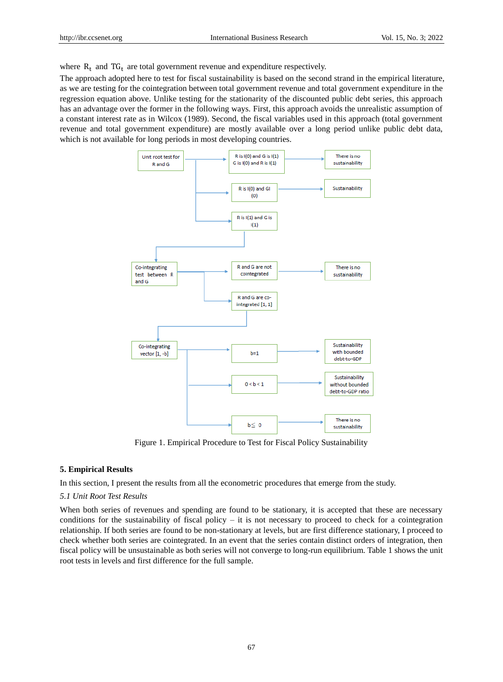where  $R_t$  and  $TG_t$  are total government revenue and expenditure respectively.

The approach adopted here to test for fiscal sustainability is based on the second strand in the empirical literature, as we are testing for the cointegration between total government revenue and total government expenditure in the regression equation above. Unlike testing for the stationarity of the discounted public debt series, this approach has an advantage over the former in the following ways. First, this approach avoids the unrealistic assumption of a constant interest rate as in Wilcox (1989). Second, the fiscal variables used in this approach (total government revenue and total government expenditure) are mostly available over a long period unlike public debt data, which is not available for long periods in most developing countries.



Figure 1. Empirical Procedure to Test for Fiscal Policy Sustainability

#### **5. Empirical Results**

In this section, I present the results from all the econometric procedures that emerge from the study.

#### *5.1 Unit Root Test Results*

When both series of revenues and spending are found to be stationary, it is accepted that these are necessary conditions for the sustainability of fiscal policy – it is not necessary to proceed to check for a cointegration relationship. If both series are found to be non-stationary at levels, but are first difference stationary, I proceed to check whether both series are cointegrated. In an event that the series contain distinct orders of integration, then fiscal policy will be unsustainable as both series will not converge to long-run equilibrium. Table 1 shows the unit root tests in levels and first difference for the full sample.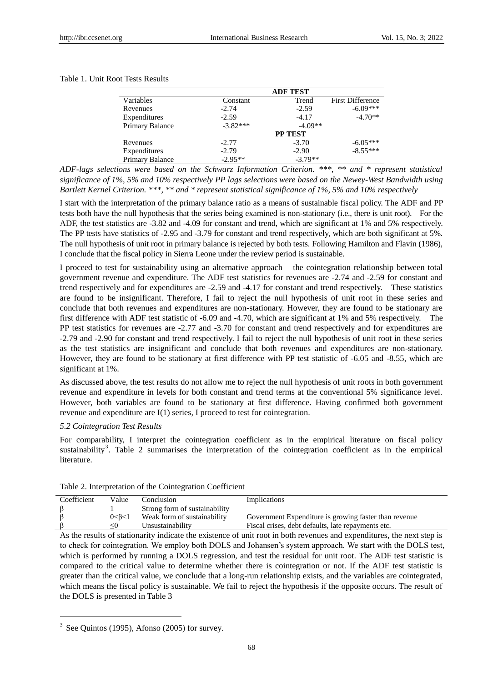#### Table 1. Unit Root Tests Results

|                 |            | <b>ADF TEST</b> |                         |
|-----------------|------------|-----------------|-------------------------|
| Variables       | Constant   | Trend           | <b>First Difference</b> |
| Revenues        | $-2.74$    | $-2.59$         | $-6.09***$              |
| Expenditures    | $-2.59$    | $-4.17$         | $-4.70**$               |
| Primary Balance | $-3.82***$ | $-4.09**$       |                         |
|                 |            | <b>PP TEST</b>  |                         |
| Revenues        | $-2.77$    | $-3.70$         | $-6.05***$              |
| Expenditures    | $-2.79$    | $-2.90$         | $-8.55***$              |
| Primary Balance | $-2.95**$  | $-3.79**$       |                         |

*ADF-lags selections were based on the Schwarz Information Criterion. \*\*\*, \*\* and \* represent statistical significance of 1%, 5% and 10% respectively PP lags selections were based on the Newey-West Bandwidth using Bartlett Kernel Criterion. \*\*\*, \*\* and \* represent statistical significance of 1%, 5% and 10% respectively*

I start with the interpretation of the primary balance ratio as a means of sustainable fiscal policy. The ADF and PP tests both have the null hypothesis that the series being examined is non-stationary (i.e., there is unit root). For the ADF, the test statistics are -3.82 and -4.09 for constant and trend, which are significant at 1% and 5% respectively. The PP tests have statistics of -2.95 and -3.79 for constant and trend respectively, which are both significant at 5%. The null hypothesis of unit root in primary balance is rejected by both tests. Following Hamilton and Flavin (1986), I conclude that the fiscal policy in Sierra Leone under the review period is sustainable.

I proceed to test for sustainability using an alternative approach – the cointegration relationship between total government revenue and expenditure. The ADF test statistics for revenues are -2.74 and -2.59 for constant and trend respectively and for expenditures are -2.59 and -4.17 for constant and trend respectively. These statistics are found to be insignificant. Therefore, I fail to reject the null hypothesis of unit root in these series and conclude that both revenues and expenditures are non-stationary. However, they are found to be stationary are first difference with ADF test statistic of -6.09 and -4.70, which are significant at 1% and 5% respectively. The PP test statistics for revenues are -2.77 and -3.70 for constant and trend respectively and for expenditures are -2.79 and -2.90 for constant and trend respectively. I fail to reject the null hypothesis of unit root in these series as the test statistics are insignificant and conclude that both revenues and expenditures are non-stationary. However, they are found to be stationary at first difference with PP test statistic of -6.05 and -8.55, which are significant at 1%.

As discussed above, the test results do not allow me to reject the null hypothesis of unit roots in both government revenue and expenditure in levels for both constant and trend terms at the conventional 5% significance level. However, both variables are found to be stationary at first difference. Having confirmed both government revenue and expenditure are I(1) series, I proceed to test for cointegration.

#### *5.2 Cointegration Test Results*

For comparability, I interpret the cointegration coefficient as in the empirical literature on fiscal policy sustainability<sup>3</sup>. Table 2 summarises the interpretation of the cointegration coefficient as in the empirical literature.

| Coefficient | Value     | Conclusion                    | Implications                                          |
|-------------|-----------|-------------------------------|-------------------------------------------------------|
|             |           | Strong form of sustainability |                                                       |
|             | 0 < B < 1 | Weak form of sustainability   | Government Expenditure is growing faster than revenue |
|             | <()       | Unsustainability              | Fiscal crises, debt defaults, late repayments etc.    |
|             |           |                               |                                                       |

#### Table 2. Interpretation of the Cointegration Coefficient

As the results of stationarity indicate the existence of unit root in both revenues and expenditures, the next step is to check for cointegration. We employ both DOLS and Johansen's system approach. We start with the DOLS test, which is performed by running a DOLS regression, and test the residual for unit root. The ADF test statistic is compared to the critical value to determine whether there is cointegration or not. If the ADF test statistic is greater than the critical value, we conclude that a long-run relationship exists, and the variables are cointegrated, which means the fiscal policy is sustainable. We fail to reject the hypothesis if the opposite occurs. The result of the DOLS is presented in Table 3

l

 $3$  See Quintos (1995), Afonso (2005) for survey.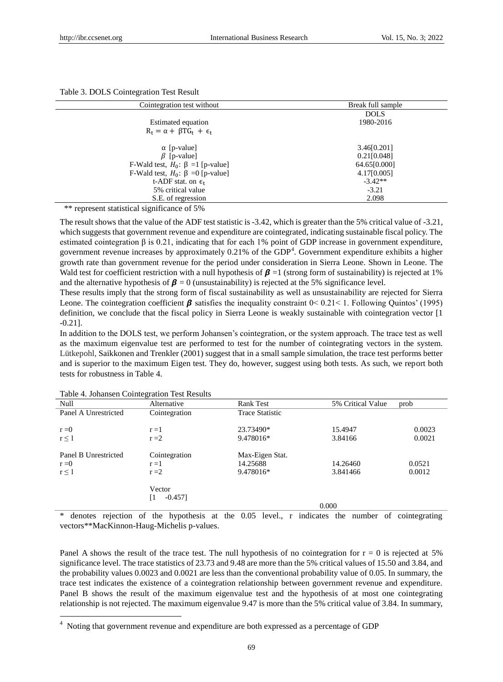| Table 3. DOLS Cointegration Test Result |  |  |
|-----------------------------------------|--|--|
|-----------------------------------------|--|--|

| Cointegration test without                 | Break full sample |
|--------------------------------------------|-------------------|
|                                            | <b>DOLS</b>       |
| Estimated equation                         | 1980-2016         |
| $R_t = \alpha + \beta T G_t + \epsilon_t$  |                   |
| $\alpha$ [p-value]                         | 3.46[0.201]       |
| $\beta$ [p-value]                          | 0.21[0.048]       |
| F-Wald test, $H_0$ : $\beta = 1$ [p-value] | 64.65[0.000]      |
| F-Wald test, $H_0$ : $\beta = 0$ [p-value] | 4.17[0.005]       |
| t-ADF stat. on $\epsilon_t$                | $-3.42**$         |
| 5% critical value                          | $-3.21$           |
| S.E. of regression                         | 2.098             |
| $\cdot$ $\sim$<br>$\sim$ $\sim$ $\sim$     |                   |

\*\* represent statistical significance of 5%

The result shows that the value of the ADF test statistic is -3.42, which is greater than the 5% critical value of -3.21, which suggests that government revenue and expenditure are cointegrated, indicating sustainable fiscal policy. The estimated cointegration β is 0.21, indicating that for each 1% point of GDP increase in government expenditure, government revenue increases by approximately 0.21% of the GDP<sup>4</sup>. Government expenditure exhibits a higher growth rate than government revenue for the period under consideration in Sierra Leone. Shown in Leone. The Wald test for coefficient restriction with a null hypothesis of  $\beta = 1$  (strong form of sustainability) is rejected at 1% and the alternative hypothesis of  $\beta = 0$  (unsustainability) is rejected at the 5% significance level.

These results imply that the strong form of fiscal sustainability as well as unsustainability are rejected for Sierra Leone. The cointegration coefficient  $\beta$  satisfies the inequality constraint  $0 < 0.21 < 1$ . Following Quintos' (1995) definition, we conclude that the fiscal policy in Sierra Leone is weakly sustainable with cointegration vector [1 -0.21].

In addition to the DOLS test, we perform Johansen's cointegration, or the system approach. The trace test as well as the maximum eigenvalue test are performed to test for the number of cointegrating vectors in the system. Lütkepohl, Saikkonen and Trenkler (2001) suggest that in a small sample simulation, the trace test performs better and is superior to the maximum Eigen test. They do, however, suggest using both tests. As such, we report both tests for robustness in Table 4.

| $1.0015$ $1.0011$ , $0.011$ , $0.011$ , $0.011$ , $0.011$ , $0.011$ | $\sum_{i=1}^{n}$ |                        |                   |        |
|---------------------------------------------------------------------|------------------|------------------------|-------------------|--------|
| Null                                                                | Alternative      | <b>Rank Test</b>       | 5% Critical Value | prob   |
| Panel A Unrestricted                                                | Cointegration    | <b>Trace Statistic</b> |                   |        |
|                                                                     |                  |                        |                   |        |
| $r = 0$                                                             | $r = 1$          | 23.73490*              | 15.4947           | 0.0023 |
| $r \leq 1$                                                          | $r = 2$          | 9.478016*              | 3.84166           | 0.0021 |
|                                                                     |                  |                        |                   |        |
| Panel B Unrestricted                                                | Cointegration    | Max-Eigen Stat.        |                   |        |
| $r = 0$                                                             | $r = 1$          | 14.25688               | 14.26460          | 0.0521 |
| $r \leq 1$                                                          | $r = 2$          | 9.478016*              | 3.841466          | 0.0012 |
|                                                                     |                  |                        |                   |        |
|                                                                     | Vector           |                        |                   |        |
|                                                                     | [1<br>$-0.457$ ] |                        |                   |        |
|                                                                     |                  |                        | 0.000             |        |
|                                                                     |                  |                        |                   |        |

Table 4. Johansen Cointegration Test Results

l

denotes rejection of the hypothesis at the  $0.05$  level., r indicates the number of cointegrating vectors\*\*MacKinnon-Haug-Michelis p-values.

Panel A shows the result of the trace test. The null hypothesis of no cointegration for  $r = 0$  is rejected at 5% significance level. The trace statistics of 23.73 and 9.48 are more than the 5% critical values of 15.50 and 3.84, and the probability values 0.0023 and 0.0021 are less than the conventional probability value of 0.05. In summary, the trace test indicates the existence of a cointegration relationship between government revenue and expenditure. Panel B shows the result of the maximum eigenvalue test and the hypothesis of at most one cointegrating relationship is not rejected. The maximum eigenvalue 9.47 is more than the 5% critical value of 3.84. In summary,

<sup>4</sup> Noting that government revenue and expenditure are both expressed as a percentage of GDP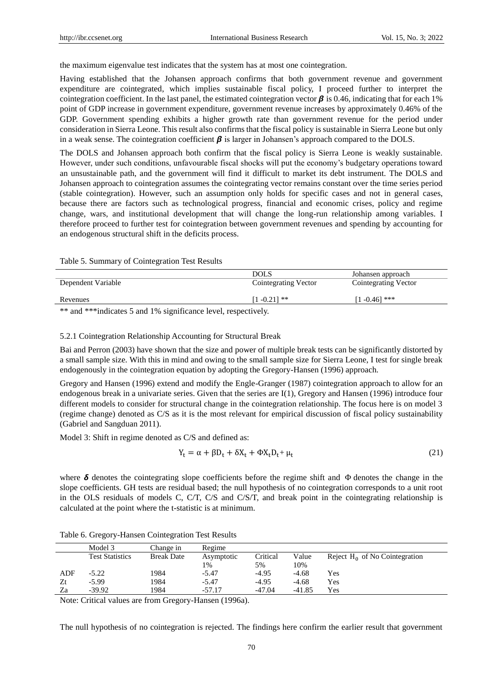the maximum eigenvalue test indicates that the system has at most one cointegration.

Having established that the Johansen approach confirms that both government revenue and government expenditure are cointegrated, which implies sustainable fiscal policy, I proceed further to interpret the cointegration coefficient. In the last panel, the estimated cointegration vector  $\beta$  is 0.46, indicating that for each 1% point of GDP increase in government expenditure, government revenue increases by approximately 0.46% of the GDP. Government spending exhibits a higher growth rate than government revenue for the period under consideration in Sierra Leone. This result also confirms that the fiscal policy is sustainable in Sierra Leone but only in a weak sense. The cointegration coefficient  $\beta$  is larger in Johansen's approach compared to the DOLS.

The DOLS and Johansen approach both confirm that the fiscal policy is Sierra Leone is weakly sustainable. However, under such conditions, unfavourable fiscal shocks will put the economy's budgetary operations toward an unsustainable path, and the government will find it difficult to market its debt instrument. The DOLS and Johansen approach to cointegration assumes the cointegrating vector remains constant over the time series period (stable cointegration). However, such an assumption only holds for specific cases and not in general cases, because there are factors such as technological progress, financial and economic crises, policy and regime change, wars, and institutional development that will change the long-run relationship among variables. I therefore proceed to further test for cointegration between government revenues and spending by accounting for an endogenous structural shift in the deficits process.

#### Table 5. Summary of Cointegration Test Results

|                                                                                                                                                                                                                                                                                                 | <b>DOLS</b>          | Johansen approach    |
|-------------------------------------------------------------------------------------------------------------------------------------------------------------------------------------------------------------------------------------------------------------------------------------------------|----------------------|----------------------|
| Dependent Variable                                                                                                                                                                                                                                                                              | Cointegrating Vector | Cointegrating Vector |
|                                                                                                                                                                                                                                                                                                 |                      |                      |
| Revenues                                                                                                                                                                                                                                                                                        | $[1 - 0.21]$ **      | $1 - 0.461$ ***      |
| ata ata<br>$\sim$ 1. $\sim$ 1. $\sim$ 1. $\sim$ 1. $\sim$ 1. $\sim$ 1. $\sim$ 1. $\sim$ 1. $\sim$ 1. $\sim$ 1. $\sim$ 1. $\sim$ 1. $\sim$ 1. $\sim$ 1. $\sim$ 1. $\sim$ 1. $\sim$ 1. $\sim$ 1. $\sim$ 1. $\sim$ 1. $\sim$ 1. $\sim$ 1. $\sim$ 1. $\sim$ 1. $\sim$ 1. $\sim$ 1. $\sim$ 1. $\sim$ |                      |                      |

\*\* and \*\*\*indicates 5 and 1% significance level, respectively.

### 5.2.1 Cointegration Relationship Accounting for Structural Break

Bai and Perron (2003) have shown that the size and power of multiple break tests can be significantly distorted by a small sample size. With this in mind and owing to the small sample size for Sierra Leone, I test for single break endogenously in the cointegration equation by adopting the Gregory-Hansen (1996) approach.

Gregory and Hansen (1996) extend and modify the Engle-Granger (1987) cointegration approach to allow for an endogenous break in a univariate series. Given that the series are I(1), Gregory and Hansen (1996) introduce four different models to consider for structural change in the cointegration relationship. The focus here is on model 3 (regime change) denoted as C/S as it is the most relevant for empirical discussion of fiscal policy sustainability (Gabriel and Sangduan 2011).

Model 3: Shift in regime denoted as C/S and defined as:

$$
Y_t = \alpha + \beta D_t + \delta X_t + \Phi X_t D_t + \mu_t \tag{21}
$$

where  $\delta$  denotes the cointegrating slope coefficients before the regime shift and  $\Phi$  denotes the change in the slope coefficients. GH tests are residual based; the null hypothesis of no cointegration corresponds to a unit root in the OLS residuals of models C, C/T, C/S and C/S/T, and break point in the cointegrating relationship is calculated at the point where the t-statistic is at minimum.

|     | Model 3                | Change in         | Regime     |          |         |                                  |
|-----|------------------------|-------------------|------------|----------|---------|----------------------------------|
|     | <b>Test Statistics</b> | <b>Break Date</b> | Asymptotic | Critical | Value   | Reject $H_0$ of No Cointegration |
|     |                        |                   | 1%         | 5%       | 10%     |                                  |
| ADF | $-5.22$                | 1984              | $-5.47$    | $-4.95$  | $-4.68$ | Yes                              |
| Zt  | $-5.99$                | 1984              | $-5.47$    | $-4.95$  | $-4.68$ | Yes                              |
| Za  | $-39.92$               | 1984              | $-57.17$   | $-47.04$ | -41.85  | Yes                              |

Note: Critical values are from Gregory-Hansen (1996a).

The null hypothesis of no cointegration is rejected. The findings here confirm the earlier result that government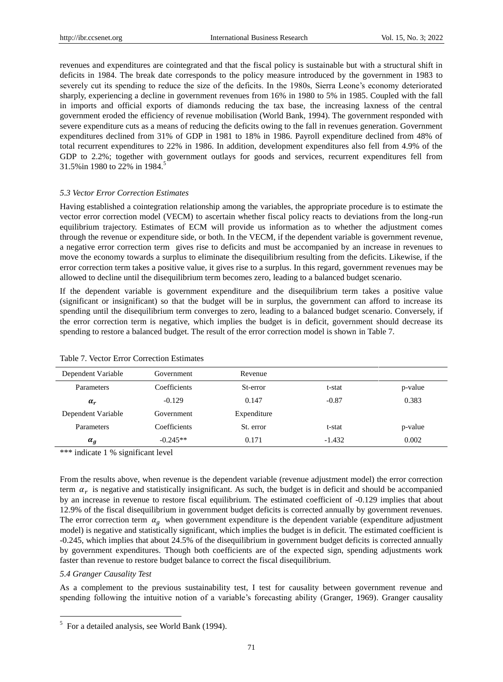revenues and expenditures are cointegrated and that the fiscal policy is sustainable but with a structural shift in deficits in 1984. The break date corresponds to the policy measure introduced by the government in 1983 to severely cut its spending to reduce the size of the deficits. In the 1980s, Sierra Leone's economy deteriorated sharply, experiencing a decline in government revenues from 16% in 1980 to 5% in 1985. Coupled with the fall in imports and official exports of diamonds reducing the tax base, the increasing laxness of the central government eroded the efficiency of revenue mobilisation (World Bank, 1994). The government responded with severe expenditure cuts as a means of reducing the deficits owing to the fall in revenues generation. Government expenditures declined from 31% of GDP in 1981 to 18% in 1986. Payroll expenditure declined from 48% of total recurrent expenditures to 22% in 1986. In addition, development expenditures also fell from 4.9% of the GDP to 2.2%; together with government outlays for goods and services, recurrent expenditures fell from 31.5%in 1980 to 22% in 1984.<sup>5</sup>

#### *5.3 Vector Error Correction Estimates*

Having established a cointegration relationship among the variables, the appropriate procedure is to estimate the vector error correction model (VECM) to ascertain whether fiscal policy reacts to deviations from the long-run equilibrium trajectory. Estimates of ECM will provide us information as to whether the adjustment comes through the revenue or expenditure side, or both. In the VECM, if the dependent variable is government revenue, a negative error correction term gives rise to deficits and must be accompanied by an increase in revenues to move the economy towards a surplus to eliminate the disequilibrium resulting from the deficits. Likewise, if the error correction term takes a positive value, it gives rise to a surplus. In this regard, government revenues may be allowed to decline until the disequilibrium term becomes zero, leading to a balanced budget scenario.

If the dependent variable is government expenditure and the disequilibrium term takes a positive value (significant or insignificant) so that the budget will be in surplus, the government can afford to increase its spending until the disequilibrium term converges to zero, leading to a balanced budget scenario. Conversely, if the error correction term is negative, which implies the budget is in deficit, government should decrease its spending to restore a balanced budget. The result of the error correction model is shown in Table 7.

| Dependent Variable | Government   | Revenue     |          |         |
|--------------------|--------------|-------------|----------|---------|
| <b>Parameters</b>  | Coefficients | St-error    | t-stat   | p-value |
| $\alpha_r$         | $-0.129$     | 0.147       | $-0.87$  | 0.383   |
| Dependent Variable | Government   | Expenditure |          |         |
| Parameters         | Coefficients | St. error   | t-stat   | p-value |
| $\alpha_g$         | $-0.245**$   | 0.171       | $-1.432$ | 0.002   |

Table 7. Vector Error Correction Estimates

\*\*\* indicate 1 % significant level

From the results above, when revenue is the dependent variable (revenue adjustment model) the error correction term  $\alpha_r$  is negative and statistically insignificant. As such, the budget is in deficit and should be accompanied by an increase in revenue to restore fiscal equilibrium. The estimated coefficient of -0.129 implies that about 12.9% of the fiscal disequilibrium in government budget deficits is corrected annually by government revenues. The error correction term  $\alpha_g$  when government expenditure is the dependent variable (expenditure adjustment model) is negative and statistically significant, which implies the budget is in deficit. The estimated coefficient is -0.245, which implies that about 24.5% of the disequilibrium in government budget deficits is corrected annually by government expenditures. Though both coefficients are of the expected sign, spending adjustments work faster than revenue to restore budget balance to correct the fiscal disequilibrium.

#### *5.4 Granger Causality Test*

l

As a complement to the previous sustainability test, I test for causality between government revenue and spending following the intuitive notion of a variable's forecasting ability (Granger, 1969). Granger causality

 $<sup>5</sup>$  For a detailed analysis, see World Bank (1994).</sup>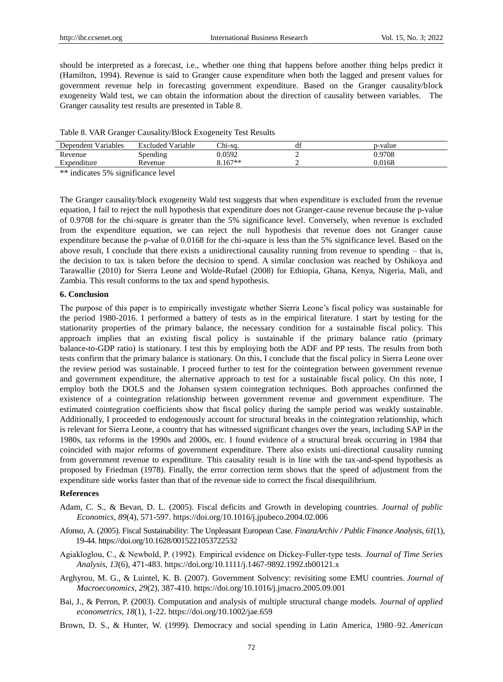should be interpreted as a forecast, i.e., whether one thing that happens before another thing helps predict it (Hamilton, 1994). Revenue is said to Granger cause expenditure when both the lagged and present values for government revenue help in forecasting government expenditure. Based on the Granger causality/block exogeneity Wald test, we can obtain the information about the direction of causality between variables. The Granger causality test results are presented in Table 8.

| Table 8. VAR Granger Causality/Block Exogeneity Test Results |  |  |  |
|--------------------------------------------------------------|--|--|--|
|                                                              |  |  |  |

| Dependent Variables | <b>Excluded Variable</b> | Chi-sa.   | df | p-value |
|---------------------|--------------------------|-----------|----|---------|
| Revenue             | Spending                 | 0.0592    |    | 0.9708  |
| Expenditure         | Revenue                  | $3.167**$ |    | 0.0168  |
|                     |                          |           |    |         |

\*\* indicates 5% significance level

The Granger causality/block exogeneity Wald test suggests that when expenditure is excluded from the revenue equation, I fail to reject the null hypothesis that expenditure does not Granger-cause revenue because the p-value of 0.9708 for the chi-square is greater than the 5% significance level. Conversely, when revenue is excluded from the expenditure equation, we can reject the null hypothesis that revenue does not Granger cause expenditure because the p-value of 0.0168 for the chi-square is less than the 5% significance level. Based on the above result, I conclude that there exists a unidirectional causality running from revenue to spending – that is, the decision to tax is taken before the decision to spend. A similar conclusion was reached by Oshikoya and Tarawallie (2010) for Sierra Leone and Wolde-Rufael (2008) for Ethiopia, Ghana, Kenya, Nigeria, Mali, and Zambia. This result conforms to the tax and spend hypothesis.

#### **6. Conclusion**

The purpose of this paper is to empirically investigate whether Sierra Leone's fiscal policy was sustainable for the period 1980-2016. I performed a battery of tests as in the empirical literature. I start by testing for the stationarity properties of the primary balance, the necessary condition for a sustainable fiscal policy. This approach implies that an existing fiscal policy is sustainable if the primary balance ratio (primary balance-to-GDP ratio) is stationary. I test this by employing both the ADF and PP tests. The results from both tests confirm that the primary balance is stationary. On this, I conclude that the fiscal policy in Sierra Leone over the review period was sustainable. I proceed further to test for the cointegration between government revenue and government expenditure, the alternative approach to test for a sustainable fiscal policy. On this note, I employ both the DOLS and the Johansen system cointegration techniques. Both approaches confirmed the existence of a cointegration relationship between government revenue and government expenditure. The estimated cointegration coefficients show that fiscal policy during the sample period was weakly sustainable. Additionally, I proceeded to endogenously account for structural breaks in the cointegration relationship, which is relevant for Sierra Leone, a country that has witnessed significant changes over the years, including SAP in the 1980s, tax reforms in the 1990s and 2000s, etc. I found evidence of a structural break occurring in 1984 that coincided with major reforms of government expenditure. There also exists uni-directional causality running from government revenue to expenditure. This causality result is in line with the tax-and-spend hypothesis as proposed by Friedman (1978). Finally, the error correction term shows that the speed of adjustment from the expenditure side works faster than that of the revenue side to correct the fiscal disequilibrium.

#### **References**

- Adam, C. S., & Bevan, D. L. (2005). Fiscal deficits and Growth in developing countries. *Journal of public Economics*, *89*(4), 571-597. [https://doi.org/10.1016/j.jpubeco.2004.02.006](about:blank)
- Afonso, A. (2005). Fiscal Sustainability: The Unpleasant European Case. *FinanzArchiv / Public Finance Analysis*, *61*(1), 19-44. https://doi.org/10.1628/0015221053722532
- Agiakloglou, C., & Newbold, P. (1992). Empirical evidence on Dickey‐Fuller‐type tests. *Journal of Time Series Analysis*, *13*(6), 471-483. https://doi.org/10.1111/j.1467-9892.1992.tb00121.x
- Arghyrou, M. G., & Luintel, K. B. (2007). Government Solvency: revisiting some EMU countries. *Journal of Macroeconomics*, *29*(2), 387-410. [https://doi.org/10.1016/j.jmacro.2005.09.001](about:blank)
- Bai, J., & Perron, P. (2003). Computation and analysis of multiple structural change models. *Journal of applied econometrics*, *18*(1), 1-22. [https://doi.org/10.1002/jae.659](about:blank)
- Brown, D. S., & Hunter, W. (1999). Democracy and social spending in Latin America, 1980–92. *American*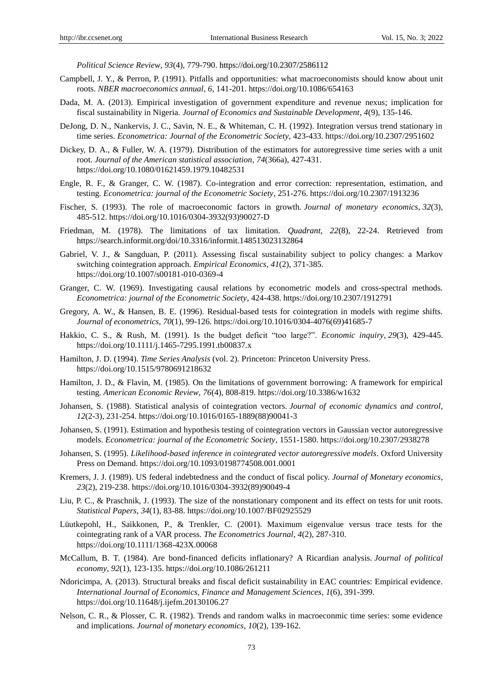*Political Science Review*, *93*(4), 779-790. [https://doi.org/10.2307/2586112](about:blank)

- Campbell, J. Y., & Perron, P. (1991). Pitfalls and opportunities: what macroeconomists should know about unit roots. *NBER macroeconomics annual*, *6*, 141-201. [https://doi.org/10.1086/654163](about:blank)
- Dada, M. A. (2013). Empirical investigation of government expenditure and revenue nexus; implication for fiscal sustainability in Nigeria. *Journal of Economics and Sustainable Development*, *4*(9), 135-146.
- DeJong, D. N., Nankervis, J. C., Savin, N. E., & Whiteman, C. H. (1992). Integration versus trend stationary in time series. *Econometrica: Journal of the Econometric Society*, 423-433. https://doi.org/10.2307/2951602
- Dickey, D. A., & Fuller, W. A. (1979). Distribution of the estimators for autoregressive time series with a unit root. *Journal of the American statistical association*, *74*(366a), 427-431. https://doi.org/10.1080/01621459.1979.10482531
- Engle, R. F., & Granger, C. W. (1987). Co-integration and error correction: representation, estimation, and testing. *Econometrica: journal of the Econometric Society*, 251-276. https://doi.org/10.2307/1913236
- Fischer, S. (1993). The role of macroeconomic factors in growth. *Journal of monetary economics*, *32*(3), 485-512. [https://doi.org/10.1016/0304-3932\(93\)90027-D](about:blank)
- Friedman, M. (1978). The limitations of tax limitation. *Quadrant, 22*(8), 22-24. Retrieved from https://search.informit.org/doi/10.3316/informit.148513023132864
- Gabriel, V. J., & Sangduan, P. (2011). Assessing fiscal sustainability subject to policy changes: a Markov switching cointegration approach. *Empirical Economics*, *41*(2), 371-385. https://doi.org/10.1007/s00181-010-0369-4
- Granger, C. W. (1969). Investigating causal relations by econometric models and cross-spectral methods. *Econometrica: journal of the Econometric Society*, 424-438. https://doi.org/10.2307/1912791
- Gregory, A. W., & Hansen, B. E. (1996). Residual-based tests for cointegration in models with regime shifts. *Journal of econometrics*, *70*(1), 99-126. [https://doi.org/10.1016/0304-4076\(69\)41685-7](about:blank)
- Hakkio, C. S., & Rush, M. (1991). Is the budget deficit "too large?". *Economic inquiry*, 29(3), 429-445. https://doi.org/10.1111/j.1465-7295.1991.tb00837.x
- Hamilton, J. D. (1994). *Time Series Analysis* (vol. 2). Princeton: Princeton University Press. https://doi.org/10.1515/9780691218632
- Hamilton, J. D., & Flavin, M. (1985). On the limitations of government borrowing: A framework for empirical testing. *American Economic Review*, *76*(4), 808-819. https://doi.org/10.3386/w1632
- Johansen, S. (1988). Statistical analysis of cointegration vectors. *Journal of economic dynamics and control*, *12*(2-3), 231-254. [https://doi.org/10.1016/0165-1889\(88\)90041-3](about:blank)
- Johansen, S. (1991). Estimation and hypothesis testing of cointegration vectors in Gaussian vector autoregressive models. *Econometrica: journal of the Econometric Society*, 1551-1580. https://doi.org/10.2307/2938278
- Johansen, S. (1995). *Likelihood-based inference in cointegrated vector autoregressive models*. Oxford University Press on Demand. https://doi.org/10.1093/0198774508.001.0001
- Kremers, J. J. (1989). US federal indebtedness and the conduct of fiscal policy. *Journal of Monetary economics*, *23*(2), 219-238. [https://doi.org/10.1016/0304-3932\(89\)90049-4](about:blank)
- Liu, P. C., & Praschnik, J. (1993). The size of the nonstationary component and its effect on tests for unit roots. *Statistical Papers*, *34*(1), 83-88. [https://doi.org/10.1007/BF02925529](about:blank)
- Lüutkepohl, H., Saikkonen, P., & Trenkler, C. (2001). Maximum eigenvalue versus trace tests for the cointegrating rank of a VAR process. *The Econometrics Journal*, *4*(2), 287-310. [https://doi.org/10.1111/1368-423X.00068](about:blank)
- McCallum, B. T. (1984). Are bond-financed deficits inflationary? A Ricardian analysis. *Journal of political economy*, *92*(1), 123-135. [https://doi.org/10.1086/261211](about:blank)
- Ndoricimpa, A. (2013). Structural breaks and fiscal deficit sustainability in EAC countries: Empirical evidence. *International Journal of Economics, Finance and Management Sciences*, *1*(6), 391-399. https://doi.org/10.11648/j.ijefm.20130106.27
- Nelson, C. R., & Plosser, C. R. (1982). Trends and random walks in macroeconmic time series: some evidence and implications. *Journal of monetary economics*, *10*(2), 139-162.